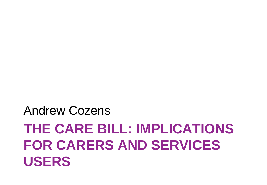### **THE CARE BILL: IMPLICATIONS FOR CARERS AND SERVICES USERS** Andrew Cozens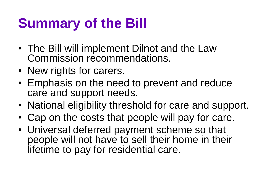# **Summary of the Bill**

- The Bill will implement Dilnot and the Law Commission recommendations.
- New rights for carers.
- Emphasis on the need to prevent and reduce care and support needs.
- National eligibility threshold for care and support.
- Cap on the costs that people will pay for care.
- Universal deferred payment scheme so that people will not have to sell their home in their lifetime to pay for residential care.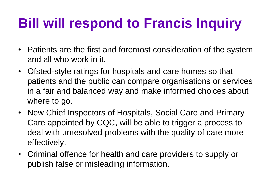# **Bill will respond to Francis Inquiry**

- Patients are the first and foremost consideration of the system and all who work in it.
- Ofsted-style ratings for hospitals and care homes so that patients and the public can compare organisations or services in a fair and balanced way and make informed choices about where to go.
- New Chief Inspectors of Hospitals, Social Care and Primary Care appointed by CQC, will be able to trigger a process to deal with unresolved problems with the quality of care more effectively.
- Criminal offence for health and care providers to supply or publish false or misleading information.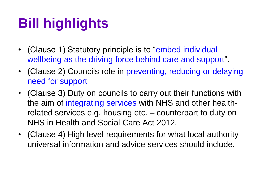- (Clause 1) Statutory principle is to "embed individual wellbeing as the driving force behind care and support".
- (Clause 2) Councils role in preventing, reducing or delaying need for support
- (Clause 3) Duty on councils to carry out their functions with the aim of integrating services with NHS and other healthrelated services e.g. housing etc. – counterpart to duty on NHS in Health and Social Care Act 2012.
- (Clause 4) High level requirements for what local authority universal information and advice services should include.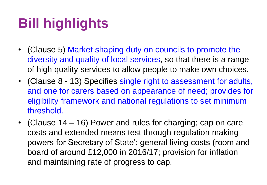- (Clause 5) Market shaping duty on councils to promote the diversity and quality of local services, so that there is a range of high quality services to allow people to make own choices.
- (Clause 8 13) Specifies single right to assessment for adults, and one for carers based on appearance of need; provides for eligibility framework and national regulations to set minimum threshold.
- (Clause 14 16) Power and rules for charging; cap on care costs and extended means test through regulation making powers for Secretary of State'; general living costs (room and board of around £12,000 in 2016/17; provision for inflation and maintaining rate of progress to cap.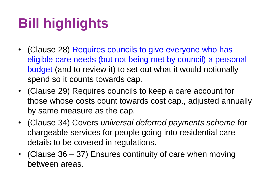- (Clause 28) Requires councils to give everyone who has eligible care needs (but not being met by council) a personal budget (and to review it) to set out what it would notionally spend so it counts towards cap.
- (Clause 29) Requires councils to keep a care account for those whose costs count towards cost cap., adjusted annually by same measure as the cap.
- (Clause 34) Covers *universal deferred payments scheme* for chargeable services for people going into residential care – details to be covered in regulations.
- (Clause 36 37) Ensures continuity of care when moving between areas.